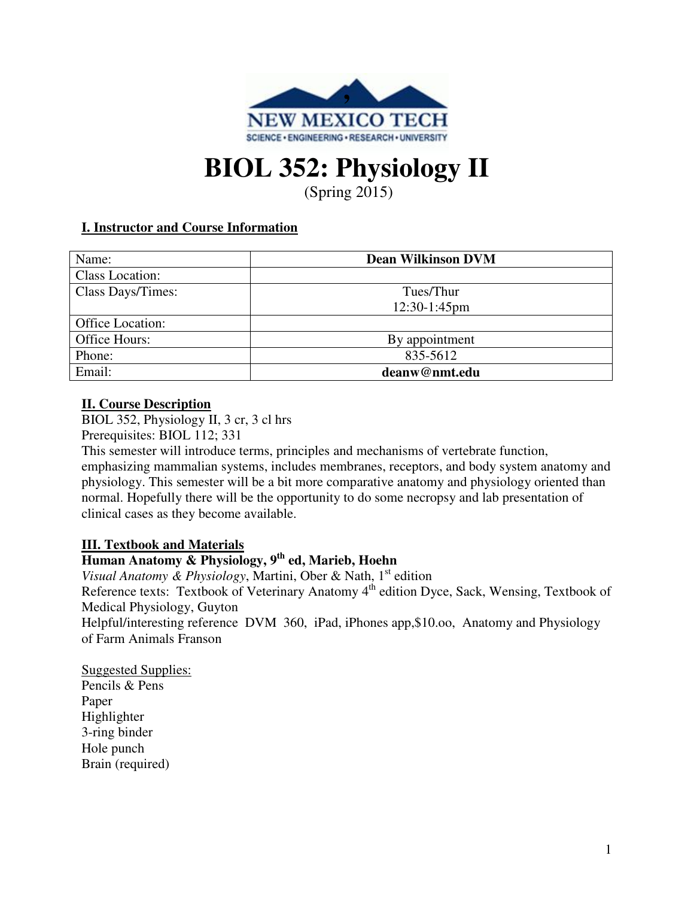

# **BIOL 352: Physiology II**

(Spring 2015)

# **I. Instructor and Course Information**

| Name:             | <b>Dean Wilkinson DVM</b> |
|-------------------|---------------------------|
| Class Location:   |                           |
| Class Days/Times: | Tues/Thur                 |
|                   | $12:30-1:45$ pm           |
| Office Location:  |                           |
| Office Hours:     | By appointment            |
| Phone:            | 835-5612                  |
| Email:            | deanw@nmt.edu             |

#### **II. Course Description**

BIOL 352, Physiology II, 3 cr, 3 cl hrs Prerequisites: BIOL 112; 331

This semester will introduce terms, principles and mechanisms of vertebrate function, emphasizing mammalian systems, includes membranes, receptors, and body system anatomy and physiology. This semester will be a bit more comparative anatomy and physiology oriented than normal. Hopefully there will be the opportunity to do some necropsy and lab presentation of clinical cases as they become available.

# **III. Textbook and Materials**

# **Human Anatomy & Physiology, 9th ed, Marieb, Hoehn**

*Visual Anatomy & Physiology*, Martini, Ober & Nath, 1<sup>st</sup> edition Reference texts: Textbook of Veterinary Anatomy 4<sup>th</sup> edition Dyce, Sack, Wensing, Textbook of Medical Physiology, Guyton

Helpful/interesting reference DVM 360, iPad, iPhones app, \$10.00, Anatomy and Physiology of Farm Animals Franson

Suggested Supplies: Pencils & Pens Paper Highlighter 3-ring binder Hole punch Brain (required)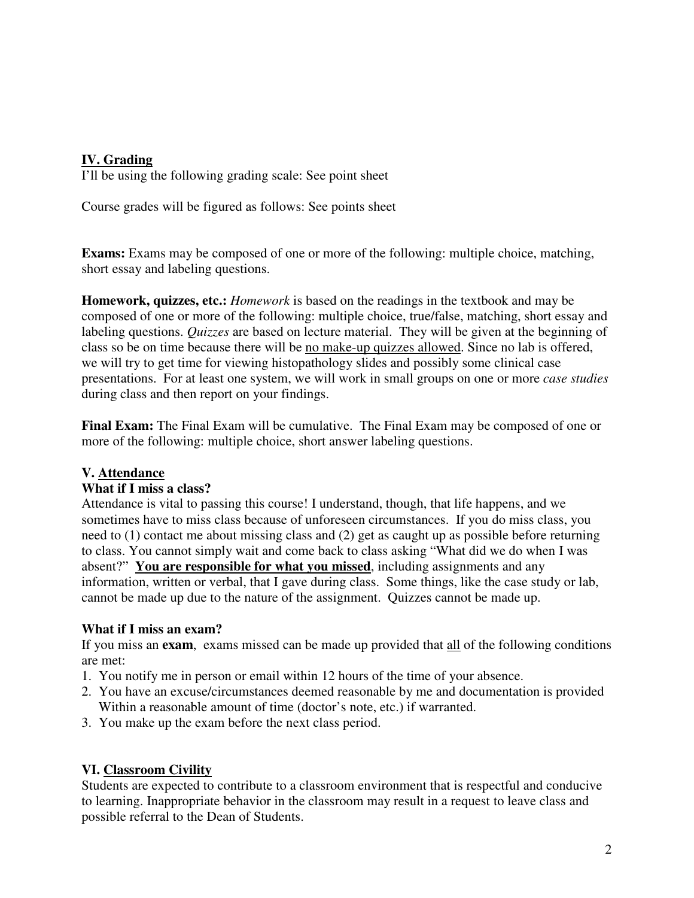# **IV. Grading**

I'll be using the following grading scale: See point sheet

Course grades will be figured as follows: See points sheet

**Exams:** Exams may be composed of one or more of the following: multiple choice, matching, short essay and labeling questions.

**Homework, quizzes, etc.:** *Homework* is based on the readings in the textbook and may be composed of one or more of the following: multiple choice, true/false, matching, short essay and labeling questions. *Quizzes* are based on lecture material. They will be given at the beginning of class so be on time because there will be no make-up quizzes allowed. Since no lab is offered, we will try to get time for viewing histopathology slides and possibly some clinical case presentations. For at least one system, we will work in small groups on one or more *case studies* during class and then report on your findings.

**Final Exam:** The Final Exam will be cumulative. The Final Exam may be composed of one or more of the following: multiple choice, short answer labeling questions.

# **V. Attendance**

#### **What if I miss a class?**

Attendance is vital to passing this course! I understand, though, that life happens, and we sometimes have to miss class because of unforeseen circumstances. If you do miss class, you need to (1) contact me about missing class and (2) get as caught up as possible before returning to class. You cannot simply wait and come back to class asking "What did we do when I was absent?" **You are responsible for what you missed**, including assignments and any information, written or verbal, that I gave during class. Some things, like the case study or lab, cannot be made up due to the nature of the assignment. Quizzes cannot be made up.

#### **What if I miss an exam?**

If you miss an **exam**, exams missed can be made up provided that all of the following conditions are met:

- 1. You notify me in person or email within 12 hours of the time of your absence.
- 2. You have an excuse/circumstances deemed reasonable by me and documentation is provided Within a reasonable amount of time (doctor's note, etc.) if warranted.
- 3. You make up the exam before the next class period.

# **VI. Classroom Civility**

Students are expected to contribute to a classroom environment that is respectful and conducive to learning. Inappropriate behavior in the classroom may result in a request to leave class and possible referral to the Dean of Students.